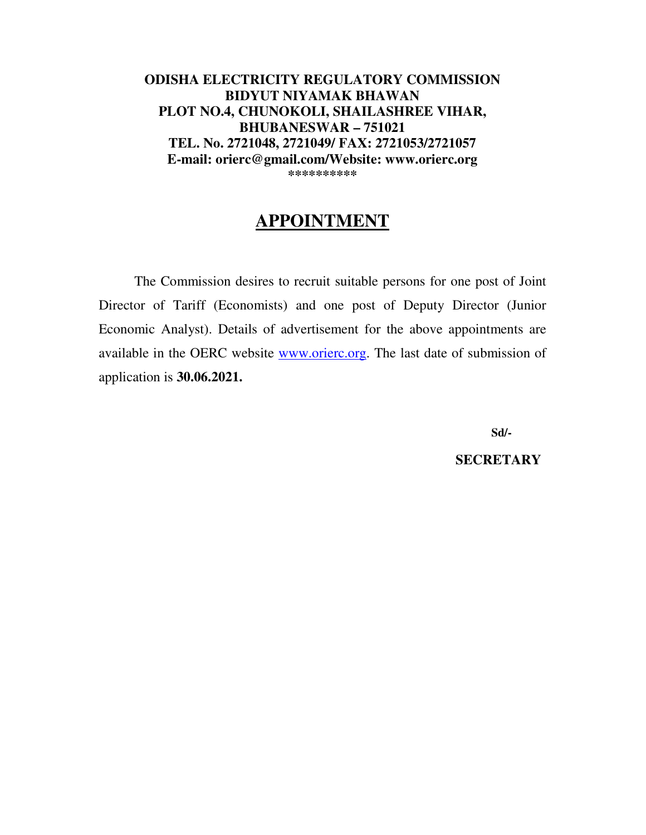**ODISHA ELECTRICITY REGULATORY COMMISSION BIDYUT NIYAMAK BHAWAN PLOT NO.4, CHUNOKOLI, SHAILASHREE VIHAR, BHUBANESWAR – 751021 TEL. No. 2721048, 2721049/ FAX: 2721053/2721057 E-mail: orierc@gmail.com/Website: www.orierc.org \*\*\*\*\*\*\*\*\*\***

# **APPOINTMENT**

The Commission desires to recruit suitable persons for one post of Joint Director of Tariff (Economists) and one post of Deputy Director (Junior Economic Analyst). Details of advertisement for the above appointments are available in the OERC website www.orierc.org. The last date of submission of application is **30.06.2021.**

**Sd/-** 

**SECRETARY**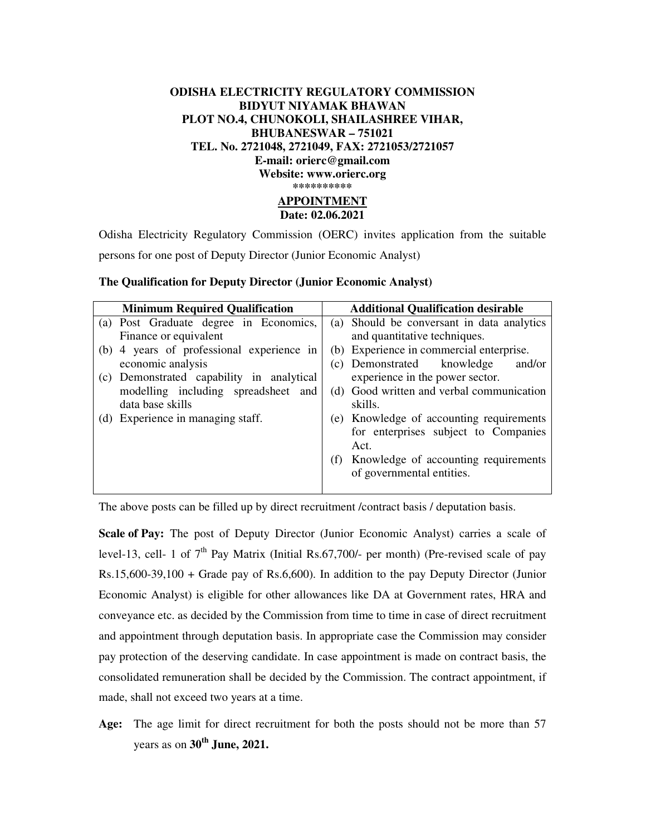### **ODISHA ELECTRICITY REGULATORY COMMISSION BIDYUT NIYAMAK BHAWAN PLOT NO.4, CHUNOKOLI, SHAILASHREE VIHAR, BHUBANESWAR – 751021 TEL. No. 2721048, 2721049, FAX: 2721053/2721057 E-mail: orierc@gmail.com Website: www.orierc.org \*\*\*\*\*\*\*\*\*\* APPOINTMENT**

**Date: 02.06.2021**

Odisha Electricity Regulatory Commission (OERC) invites application from the suitable persons for one post of Deputy Director (Junior Economic Analyst)

| <b>Minimum Required Qualification</b>        | <b>Additional Qualification desirable</b>  |
|----------------------------------------------|--------------------------------------------|
| (a) Post Graduate degree in Economics,       | (a) Should be conversant in data analytics |
| Finance or equivalent                        | and quantitative techniques.               |
| (b) 4 years of professional experience in    | (b) Experience in commercial enterprise.   |
| economic analysis                            | (c) Demonstrated knowledge<br>and/or       |
| Demonstrated capability in analytical<br>(c) | experience in the power sector.            |
| modelling including spreadsheet and          | (d) Good written and verbal communication  |
| data base skills                             | skills.                                    |
| (d) Experience in managing staff.            | (e) Knowledge of accounting requirements   |
|                                              | for enterprises subject to Companies       |
|                                              | Act.                                       |
|                                              | (f) Knowledge of accounting requirements   |
|                                              | of governmental entities.                  |
|                                              |                                            |

#### **The Qualification for Deputy Director (Junior Economic Analyst)**

The above posts can be filled up by direct recruitment /contract basis / deputation basis.

**Scale of Pay:** The post of Deputy Director (Junior Economic Analyst) carries a scale of level-13, cell- 1 of  $7<sup>th</sup>$  Pay Matrix (Initial Rs.67,700/- per month) (Pre-revised scale of pay Rs.15,600-39,100 + Grade pay of Rs.6,600). In addition to the pay Deputy Director (Junior Economic Analyst) is eligible for other allowances like DA at Government rates, HRA and conveyance etc. as decided by the Commission from time to time in case of direct recruitment and appointment through deputation basis. In appropriate case the Commission may consider pay protection of the deserving candidate. In case appointment is made on contract basis, the consolidated remuneration shall be decided by the Commission. The contract appointment, if made, shall not exceed two years at a time.

**Age:** The age limit for direct recruitment for both the posts should not be more than 57 years as on **30th June, 2021.**